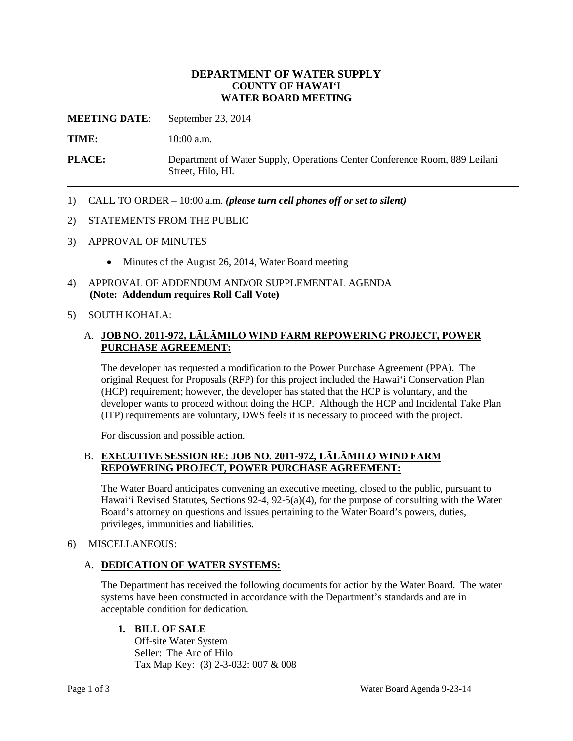## **DEPARTMENT OF WATER SUPPLY COUNTY OF HAWAI'I WATER BOARD MEETING**

**MEETING DATE**: September 23, 2014

**TIME:** 10:00 a.m.

**PLACE:** Department of Water Supply, Operations Center Conference Room, 889 Leilani Street, Hilo, HI.

1) CALL TO ORDER – 10:00 a.m. *(please turn cell phones off or set to silent)*

#### 2) STATEMENTS FROM THE PUBLIC

- 3) APPROVAL OF MINUTES
	- Minutes of the August 26, 2014, Water Board meeting
- 4) APPROVAL OF ADDENDUM AND/OR SUPPLEMENTAL AGENDA **(Note: Addendum requires Roll Call Vote)**

#### 5) SOUTH KOHALA:

## A. **JOB NO. 2011-972, LĀLĀMILO WIND FARM REPOWERING PROJECT, POWER PURCHASE AGREEMENT:**

The developer has requested a modification to the Power Purchase Agreement (PPA). The original Request for Proposals (RFP) for this project included the Hawai'i Conservation Plan (HCP) requirement; however, the developer has stated that the HCP is voluntary, and the developer wants to proceed without doing the HCP. Although the HCP and Incidental Take Plan (ITP) requirements are voluntary, DWS feels it is necessary to proceed with the project.

For discussion and possible action.

#### B. **EXECUTIVE SESSION RE: JOB NO. 2011-972, LĀLĀMILO WIND FARM REPOWERING PROJECT, POWER PURCHASE AGREEMENT:**

The Water Board anticipates convening an executive meeting, closed to the public, pursuant to Hawai'i Revised Statutes, Sections 92-4, 92-5(a)(4), for the purpose of consulting with the Water Board's attorney on questions and issues pertaining to the Water Board's powers, duties, privileges, immunities and liabilities.

#### 6) MISCELLANEOUS:

#### A. **DEDICATION OF WATER SYSTEMS:**

The Department has received the following documents for action by the Water Board. The water systems have been constructed in accordance with the Department's standards and are in acceptable condition for dedication.

**1. BILL OF SALE**

Off-site Water System Seller: The Arc of Hilo Tax Map Key: (3) 2-3-032: 007 & 008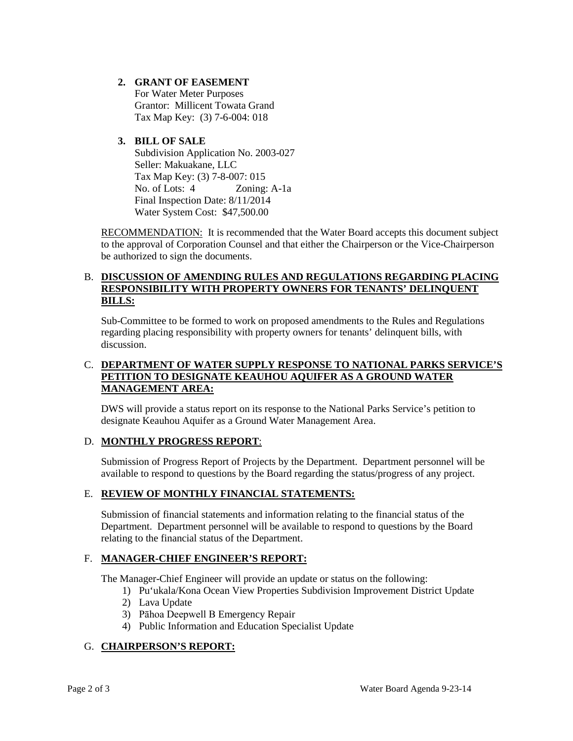## **2. GRANT OF EASEMENT**

For Water Meter Purposes Grantor: Millicent Towata Grand Tax Map Key: (3) 7-6-004: 018

## **3. BILL OF SALE**

Subdivision Application No. 2003-027 Seller: Makuakane, LLC Tax Map Key: (3) 7-8-007: 015 No. of Lots: 4 Zoning: A-1a Final Inspection Date: 8/11/2014 Water System Cost: \$47,500.00

RECOMMENDATION: It is recommended that the Water Board accepts this document subject to the approval of Corporation Counsel and that either the Chairperson or the Vice-Chairperson be authorized to sign the documents.

## B. **DISCUSSION OF AMENDING RULES AND REGULATIONS REGARDING PLACING RESPONSIBILITY WITH PROPERTY OWNERS FOR TENANTS' DELINQUENT BILLS:**

Sub-Committee to be formed to work on proposed amendments to the Rules and Regulations regarding placing responsibility with property owners for tenants' delinquent bills, with discussion.

## C. **DEPARTMENT OF WATER SUPPLY RESPONSE TO NATIONAL PARKS SERVICE'S PETITION TO DESIGNATE KEAUHOU AQUIFER AS A GROUND WATER MANAGEMENT AREA:**

DWS will provide a status report on its response to the National Parks Service's petition to designate Keauhou Aquifer as a Ground Water Management Area.

#### D. **MONTHLY PROGRESS REPORT**:

Submission of Progress Report of Projects by the Department. Department personnel will be available to respond to questions by the Board regarding the status/progress of any project.

# E. **REVIEW OF MONTHLY FINANCIAL STATEMENTS:**

Submission of financial statements and information relating to the financial status of the Department. Department personnel will be available to respond to questions by the Board relating to the financial status of the Department.

# F. **MANAGER-CHIEF ENGINEER'S REPORT:**

The Manager-Chief Engineer will provide an update or status on the following:

- 1) Pu'ukala/Kona Ocean View Properties Subdivision Improvement District Update
- 2) Lava Update
- 3) Pāhoa Deepwell B Emergency Repair
- 4) Public Information and Education Specialist Update

#### G. **CHAIRPERSON'S REPORT:**